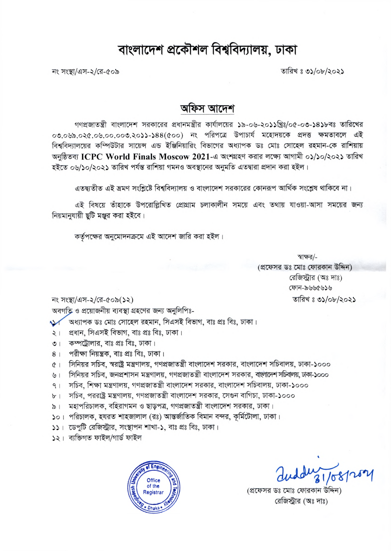## বাংলাদেশ প্রকৌশল বিশ্ববিদ্যালয়, ঢাকা

তারিখ ঃ ৩১/০৮/২০২১

নং সংস্থা/এস-২/রে-৫০৯

## অফিস আদেশ

গণপ্রজাতন্ত্রী বাংলাদেশ সরকারের প্রধানমন্ত্রীর কার্যালয়ের ১৯-০৬-২০১১খ্রিঃ/০৫-০৩-১৪১৮বঃ তারিখের ০৩.০৬৯.০২৫.০৬.০০.০০৩.২০১১-১৪৪(৫০০) নং পরিপত্রে উপাচার্য মহোদয়কে প্রদত্ত ক্ষমতাবলে এই বিশ্ববিদ্যালয়ের কম্পিউটার সায়েন্স এন্ড ইঞ্জিনিয়ারিং বিভাগের অধ্যাপক ডঃ মোঃ সোহেল রহমান-কে রাশিয়ায় অনুষ্ঠিতব্য ICPC World Finals Moscow 2021-এ অংশগ্রহণ করার লক্ষ্যে আগামী ০১/১০/২০২১ তারিখ হইতে ০৬/১০/২০২১ তারিখ পর্যন্ত রাশিয়া গমনও অবস্থানের অনুমতি এতদ্বারা প্রদান করা হইল।

এতদ্বতীত এই ভ্রমণ সংশ্লিষ্টে বিশ্ববিদ্যালয় ও বাংলাদেশ সরকারের কোনরূপ আর্থিক সংশ্লেষ থাকিবে না।

এই বিষয়ে তাঁহাকে উপরোল্লিখিত প্রোগ্রাম চলাকালীন সময়ে এবং তথায় যাওয়া-আসা সময়ের জন্য নিয়মানুযায়ী ছুটি মঞ্জুর করা হইবে।

কর্তৃপক্ষের অনুমোদনক্রমে এই আদেশ জারি করা হইল।

স্বাক্ষর/-(প্রফেসর ডঃ মোঃ ফোরকান উদ্দিন) রেজিস্ট্রার (অঃ দাঃ) ফোন-৯৬৬৫৬১৬ তারিখ ঃ ৩১/০৮/২০২১

নং সংস্থা/এস-২/রে-৫০৯(১২)

অবগতি ও প্রয়োজনীয় ব্যবস্থা গ্রহণের জন্য অনুলিপিঃ-

অধ্যাপক ডঃ মোঃ সোহেল রহমান, সিএসই বিভাগ, বাঃ প্রঃ বিঃ, ঢাকা।  $\vee$ 

- প্ৰধান, সিএসই বিভাগ, বাঃ প্ৰঃ বিঃ, ঢাকা।  $\frac{1}{2}$
- কম্পট্রোলার, বাঃ প্রঃ বিঃ, ঢাকা।  $\overline{O}$
- পরীক্ষা নিয়ন্ত্রক, বাঃ প্রঃ বিঃ, ঢাকা।  $8<sup>1</sup>$
- সিনিয়র সচিব, স্বরাষ্ট্র মন্ত্রণালয়, গণপ্রজাতন্ত্রী বাংলাদেশ সরকার, বাংলাদেশ সচিবালয়, ঢাকা-১০০০  $\alpha$
- সিনিয়র সচিব, জনপ্রশাসন মন্ত্রণালয়, গণপ্রজাতন্ত্রী বাংলাদেশ সরকার, বান্ধাদেশ সচিবালয়, ঢাকা-১০০০  $\sqrt{2}$
- সচিব, শিক্ষা মন্ত্রণালয়, গণপ্রজাতন্ত্রী বাংলাদেশ সরকার, বাংলাদেশ সচিবালয়, ঢাকা-১০০০  $9<sub>1</sub>$
- সচিব, পররাষ্ট্র মন্ত্রণালয়, গণপ্রজাতন্ত্রী বাংলাদেশ সরকার, সেগুন বাগিচা, ঢাকা-১০০০  $b$ <sup>1</sup>
- মহাপরিচালক, বহিরাগমন ও ছাড়পত্র, গণপ্রজাতন্ত্রী বাংলাদেশ সরকার, ঢাকা।  $\frac{1}{2}$
- ১০। পরিচালক, হযরত শাহজালাল (রঃ) আন্তর্জাতিক বিমান বন্দর, কর্মিটোলা, ঢাকা।
- ১১। ডেপুটি রেজিস্ট্রার, সংস্থাপন শাখা-১, বাঃ প্রঃ বিঃ, ঢাকা।
- ১২। ব্যক্তিগত ফাইল/গাৰ্ড ফাইল



21/08/2004

(প্রফেসর ডঃ মোঃ ফোরকান উদ্দিন) রেজিস্ট্রার (অঃ দাঃ)